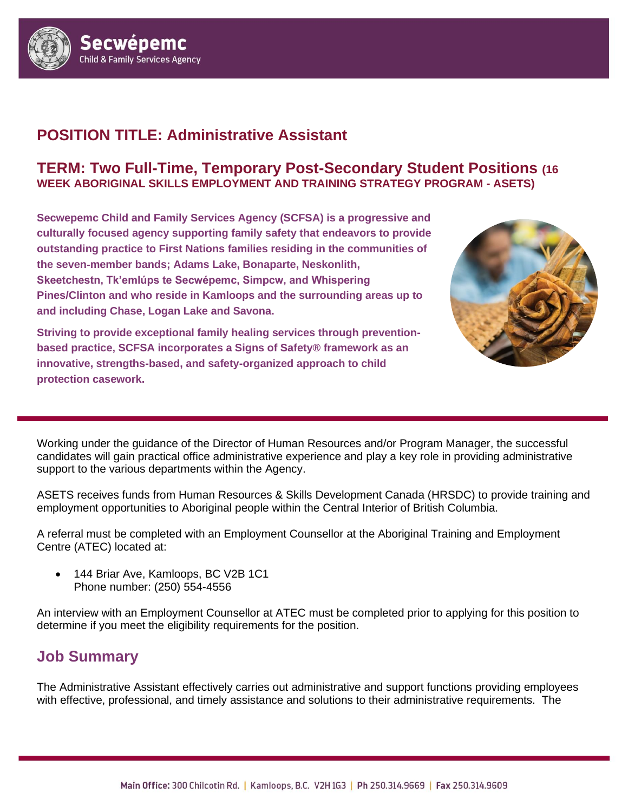

# **POSITION TITLE: Administrative Assistant**

#### **TERM: Two Full-Time, Temporary Post-Secondary Student Positions (16 WEEK ABORIGINAL SKILLS EMPLOYMENT AND TRAINING STRATEGY PROGRAM - ASETS)**

**Secwepemc Child and Family Services Agency (SCFSA) is a progressive and culturally focused agency supporting family safety that endeavors to provide outstanding practice to First Nations families residing in the communities of the seven**‐**member bands; Adams Lake, Bonaparte, Neskonlith, Skeetchestn, Tk'emlúps te Secwépemc, Simpcw, and Whispering Pines/Clinton and who reside in Kamloops and the surrounding areas up to and including Chase, Logan Lake and Savona.** 

**Striving to provide exceptional family healing services through preventionbased practice, SCFSA incorporates a Signs of Safety® framework as an innovative, strengths-based, and safety-organized approach to child protection casework.** 



Working under the guidance of the Director of Human Resources and/or Program Manager, the successful candidates will gain practical office administrative experience and play a key role in providing administrative support to the various departments within the Agency.

ASETS receives funds from Human Resources & Skills Development Canada (HRSDC) to provide training and employment opportunities to Aboriginal people within the Central Interior of British Columbia.

A referral must be completed with an Employment Counsellor at the Aboriginal Training and Employment Centre (ATEC) located at:

• 144 Briar Ave, Kamloops, BC V2B 1C1 Phone number: [\(250\) 554-4556](https://www.google.ca/search?safe=off&source=hp&ei=KeX5WvLkH5TMjwO3qr8Y&q=atec+kamloops&oq=atec&gs_l=psy-ab.3.5.0l10.1034.1780.0.6470.5.4.0.0.0.0.108.314.3j1.4.0....0...1.1.64.psy-ab..1.4.308.0..35i39k1j0i131k1j0i131i46k1j46i131k1.0.TNpm3QBzs1s)

An interview with an Employment Counsellor at ATEC must be completed prior to applying for this position to determine if you meet the eligibility requirements for the position.

### **Job Summary**

The Administrative Assistant effectively carries out administrative and support functions providing employees with effective, professional, and timely assistance and solutions to their administrative requirements. The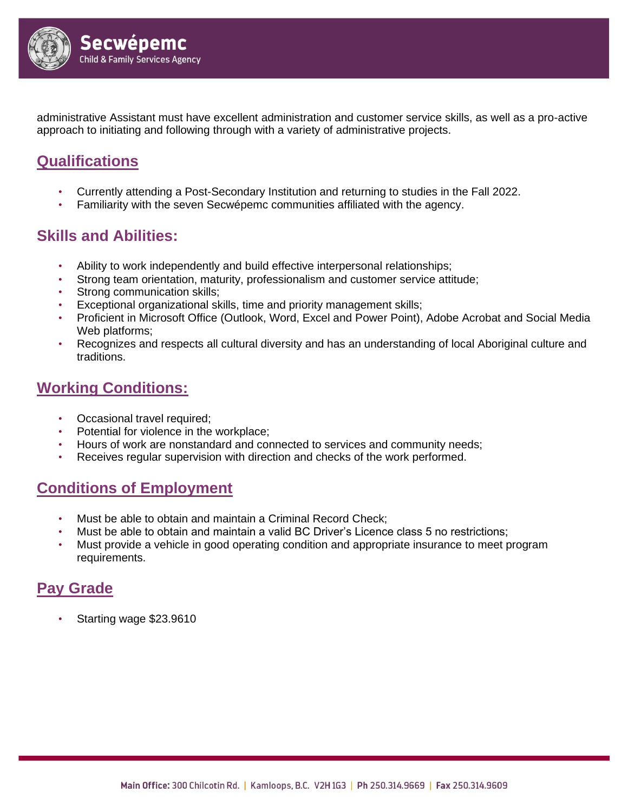

administrative Assistant must have excellent administration and customer service skills, as well as a pro-active approach to initiating and following through with a variety of administrative projects.

## **Qualifications**

- Currently attending a Post-Secondary Institution and returning to studies in the Fall 2022.
- Familiarity with the seven Secwépemc communities affiliated with the agency.

#### **Skills and Abilities:**

- Ability to work independently and build effective interpersonal relationships;
- Strong team orientation, maturity, professionalism and customer service attitude;
- Strong communication skills;
- Exceptional organizational skills, time and priority management skills;
- Proficient in Microsoft Office (Outlook, Word, Excel and Power Point), Adobe Acrobat and Social Media Web platforms;
- Recognizes and respects all cultural diversity and has an understanding of local Aboriginal culture and traditions.

#### **Working Conditions:**

- Occasional travel required;
- Potential for violence in the workplace;
- Hours of work are nonstandard and connected to services and community needs;
- Receives regular supervision with direction and checks of the work performed.

#### **Conditions of Employment**

- Must be able to obtain and maintain a Criminal Record Check;
- Must be able to obtain and maintain a valid BC Driver's Licence class 5 no restrictions;
- Must provide a vehicle in good operating condition and appropriate insurance to meet program requirements.

### **Pay Grade**

• Starting wage \$23.9610